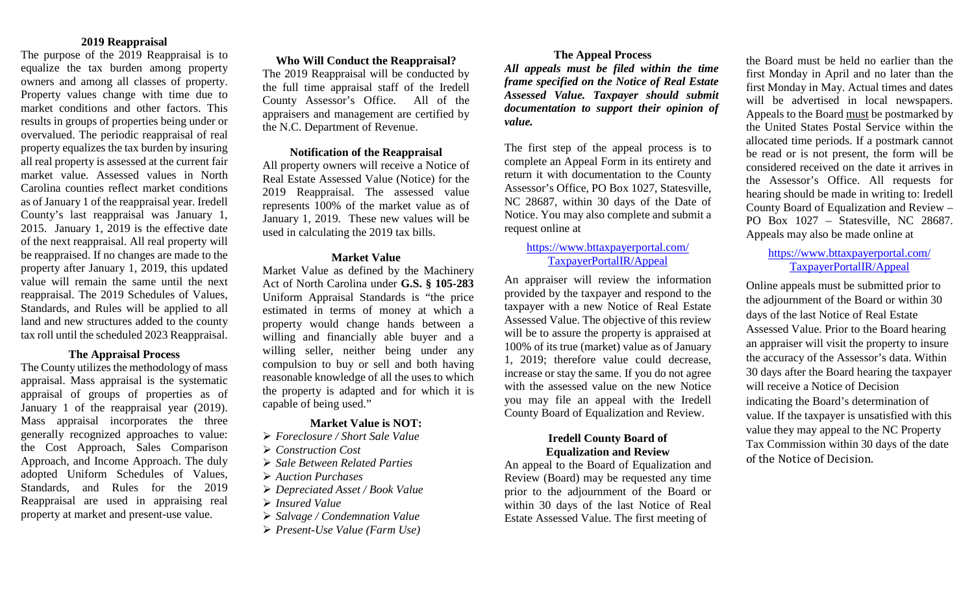#### **2019 Reappraisal**

The purpose of the 2019 Reappraisal is to equalize the tax burden among property owners and among all classes of property. Property values change with time due to market conditions and other factors. This results in groups of properties being under or overvalued. The periodic reappraisal of real property equalizes the tax burden by insuring all real property is assessed at the current fair market value. Assessed values in North Carolina counties reflect market conditions as of January 1 of the reappraisal year. Iredell County's last reappraisal was January 1, 2015. January 1, 2019 is the effective date of the next reappraisal. All real property will be reappraised. If no changes are made to the property after January 1, 2019, this updated value will remain the same until the next reappraisal. The 2019 Schedules of Values, Standards, and Rules will be applied to all land and new structures added to the county tax roll until the scheduled 2023 Reappraisal.

#### **The Appraisal Process**

The County utilizes the methodology of mass appraisal. Mass appraisal is the systematic appraisal of groups of properties as of January 1 of the reappraisal year (2019). Mass appraisal incorporates the three generally recognized approaches to value: the Cost Approach, Sales Comparison Approach, and Income Approach. The duly adopted Uniform Schedules of Values, Standards, and Rules for the 2019 Reappraisal are used in appraising real property at market and present-use value.

#### **Who Will Conduct the Reappraisal?**

The 2019 Reappraisal will be conducted by the full time appraisal staff of the Iredell County Assessor's Office. All of the appraisers and management are certified by the N.C. Department of Revenue.

#### **Notification of the Reappraisal**

All property owners will receive a Notice of Real Estate Assessed Value (Notice) for the 2019 Reappraisal. The assessed value represents 100% of the market value as of January 1, 2019. These new values will be used in calculating the 2019 tax bills.

#### **Market Value**

Market Value as defined by the Machinery Act of North Carolina under **G.S. § 105-283** Uniform Appraisal Standards is "the price estimated in terms of money at which a property would change hands between a willing and financially able buyer and a willing seller, neither being under any compulsion to buy or sell and both having reasonable knowledge of all the uses to which the property is adapted and for which it is capable of being used."

#### **Market Value is NOT:**

- *Foreclosure / Short Sale Value*
- *Construction Cost*
- *Sale Between Related Parties*
- *Auction Purchases*
- *Depreciated Asset / Book Value*
- *Insured Value*
- *Salvage / Condemnation Value*
- *Present-Use Value (Farm Use)*

## **The Appeal Process**

*All appeals must be filed within the time frame specified on the Notice of Real Estate Assessed Value. Taxpayer should submit documentation to support their opinion of value.* 

The first step of the appeal process is to complete an Appeal Form in its entirety and return it with documentation to the County Assessor's Office, PO Box 1027, Statesville, NC 28687, within 30 days of the Date of Notice. You may also complete and submit a request online at

#### [https://www.bttaxpayerportal.com/](https://www.bttaxpayerportal.com/%20TaxpayerPortalIR/Appeal)  [TaxpayerPortalIR/Appeal](https://www.bttaxpayerportal.com/%20TaxpayerPortalIR/Appeal)

An appraiser will review the information provided by the taxpayer and respond to the taxpayer with a new Notice of Real Estate Assessed Value. The objective of this review will be to assure the property is appraised at 100% of its true (market) value as of January 1, 2019; therefore value could decrease, increase or stay the same. If you do not agree with the assessed value on the new Notice you may file an appeal with the Iredell County Board of Equalization and Review.

## **Iredell County Board of Equalization and Review**

An appeal to the Board of Equalization and Review (Board) may be requested any time prior to the adjournment of the Board or within 30 days of the last Notice of Real Estate Assessed Value. The first meeting of

the Board must be held no earlier than the first Monday in April and no later than the first Monday in May. Actual times and dates will be advertised in local newspapers. Appeals to the Board must be postmarked by the United States Postal Service within the allocated time periods. If a postmark cannot be read or is not present, the form will be considered received on the date it arrives in the Assessor's Office. All requests for hearing should be made in writing to: Iredell County Board of Equalization and Review – PO Box 1027 – Statesville, NC 28687. Appeals may also be made online at

## [https://www.bttaxpayerportal.com/](https://www.bttaxpayerportal.com/%20TaxpayerPortalIR/Appeal)  [TaxpayerPortalIR/Appeal](https://www.bttaxpayerportal.com/%20TaxpayerPortalIR/Appeal)

Online appeals must be submitted prior to the adjournment of the Board or within 30 days of the last Notice of Real Estate Assessed Value. Prior to the Board hearing an appraiser will visit the property to insure the accuracy of the Assessor's data. Within 30 days after the Board hearing the taxpayer will receive a Notice of Decision indicating the Board's determination of value. If the taxpayer is unsatisfied with this value they may appeal to the NC Property Tax Commission within 30 days of the date of the Notice of Decision.